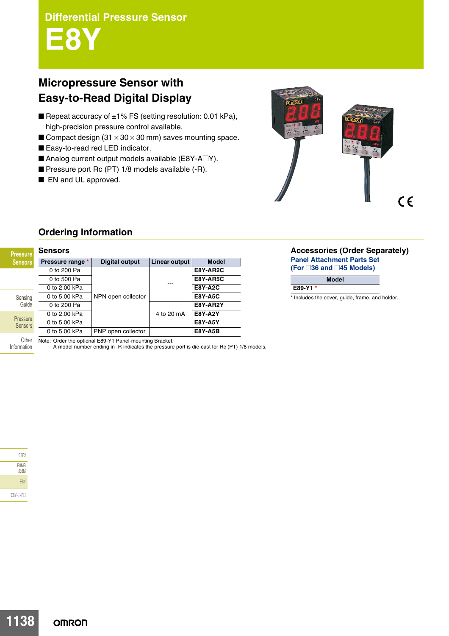**E8Y**

# **Micropressure Sensor with Easy-to-Read Digital Display**

- Repeat accuracy of  $±1\%$  FS (setting resolution: 0.01 kPa), high-precision pressure control available.
- Compact design  $(31 \times 30 \times 30 \text{ mm})$  saves mounting space.
- Easy-to-read red LED indicator.
- Analog current output models available (E8Y-A $\square$ Y).
- Pressure port Rc (PT) 1/8 models available (-R).
- EN and UL approved.



## **Ordering Information**

| <b>Pressure</b>            | <b>Sensors</b>                                         |                       |               |                |
|----------------------------|--------------------------------------------------------|-----------------------|---------------|----------------|
| <b>Sensors</b>             | Pressure range *                                       | <b>Digital output</b> | Linear output | <b>Model</b>   |
|                            | 0 to 200 Pa                                            |                       |               | E8Y-AR2C       |
|                            | 0 to 500 Pa                                            |                       |               | E8Y-AR5C       |
| Sensing<br>Guide           | 0 to 2.00 kPa                                          |                       |               | <b>E8Y-A2C</b> |
|                            | 0 to 5.00 kPa                                          | NPN open collector    |               | <b>E8Y-A5C</b> |
|                            | 0 to 200 Pa                                            |                       | 4 to 20 mA    | E8Y-AR2Y       |
| Pressure<br><b>Sensors</b> | 0 to 2.00 kPa                                          |                       |               | <b>E8Y-A2Y</b> |
|                            | 0 to 5.00 kPa                                          |                       |               | <b>E8Y-A5Y</b> |
|                            | 0 to 5.00 kPa                                          | PNP open collector    |               | <b>E8Y-A5B</b> |
| ∩ther                      | Note: Order the ontional E89-V1 Panel-mounting Bracket |                       |               |                |

**Accessories (Order Separately) Panel Attachment Parts Set (For @36 and @45 Models)**

**E89-Y1 \***

\* Includes the cover, guide, frame, and holder.

**Model**

| E8F2         |
|--------------|
| E8MS<br>/E8M |
| E8Y          |

Information

E8Y-@-F@

Note: Order the optional E89-Y1 Panel-mounting Bracket.

A model number ending in -R indicates the pressure port is die-cast for Rc (PT) 1/8 models.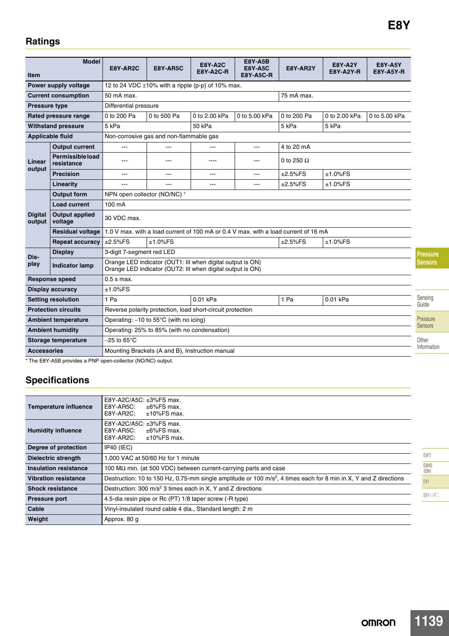## **Ratings**

| <b>Item</b>                                                                                                                                               | <b>Model</b>                     | E8Y-AR2C                                                                            | E8Y-AR5C    | <b>E8Y-A2C</b><br><b>E8Y-A2C-R</b> | <b>E8Y-A5B</b><br><b>E8Y-A5C</b><br><b>E8Y-A5C-R</b> | E8Y-AR2Y          | <b>E8Y-A2Y</b><br><b>E8Y-A2Y-R</b> | <b>E8Y-A5Y</b><br><b>E8Y-A5Y-R</b> |  |
|-----------------------------------------------------------------------------------------------------------------------------------------------------------|----------------------------------|-------------------------------------------------------------------------------------|-------------|------------------------------------|------------------------------------------------------|-------------------|------------------------------------|------------------------------------|--|
| Power supply voltage                                                                                                                                      |                                  | 12 to 24 VDC $\pm$ 10% with a ripple (p-p) of 10% max.                              |             |                                    |                                                      |                   |                                    |                                    |  |
| <b>Current consumption</b>                                                                                                                                |                                  | 50 mA max.                                                                          |             |                                    |                                                      | 75 mA max.        |                                    |                                    |  |
| <b>Pressure type</b>                                                                                                                                      |                                  | Differential pressure                                                               |             |                                    |                                                      |                   |                                    |                                    |  |
|                                                                                                                                                           | Rated pressure range             | 0 to 200 Pa                                                                         | 0 to 500 Pa | 0 to 2.00 kPa                      | 0 to 5.00 kPa                                        | 0 to 200 Pa       | 0 to 2.00 kPa                      | 0 to 5.00 kPa                      |  |
| <b>Withstand pressure</b>                                                                                                                                 |                                  | 5 kPa                                                                               |             | 50 kPa                             |                                                      | 5 kPa             | 5 kPa                              |                                    |  |
| <b>Applicable fluid</b>                                                                                                                                   |                                  | Non-corrosive gas and non-flammable gas                                             |             |                                    |                                                      |                   |                                    |                                    |  |
| Linear                                                                                                                                                    | <b>Output current</b>            | ---                                                                                 | $-$ --      | ---                                | ---                                                  | 4 to 20 mA        |                                    |                                    |  |
|                                                                                                                                                           | Permissible load<br>resistance   | ---                                                                                 | ---         | ----                               | ---                                                  | 0 to 250 $\Omega$ |                                    |                                    |  |
| output                                                                                                                                                    | <b>Precision</b>                 | ---                                                                                 | $---$       | ---                                | ---                                                  | $±2.5\%FS$        | $±1.0\%$ FS                        |                                    |  |
|                                                                                                                                                           | Linearity                        | ---                                                                                 |             | ---                                | ---                                                  | $±2.5\%FS$        | $±1.0\%FS$                         |                                    |  |
|                                                                                                                                                           | <b>Output form</b>               | NPN open collector (NO/NC) *                                                        |             |                                    |                                                      |                   |                                    |                                    |  |
|                                                                                                                                                           | <b>Load current</b>              | 100 mA                                                                              |             |                                    |                                                      |                   |                                    |                                    |  |
| <b>Digital</b><br>output                                                                                                                                  | <b>Output applied</b><br>voltage | 30 VDC max.                                                                         |             |                                    |                                                      |                   |                                    |                                    |  |
|                                                                                                                                                           | Residual voltage                 | 1.0 V max, with a load current of 100 mA or 0.4 V max, with a load current of 16 mA |             |                                    |                                                      |                   |                                    |                                    |  |
|                                                                                                                                                           | <b>Repeat accuracy</b>           | ±2.5%FS                                                                             | $±1.0\%FS$  |                                    |                                                      | $±2.5\%FS$        | $±1.0\%FS$                         |                                    |  |
| Dis-                                                                                                                                                      | <b>Display</b>                   | 3-digit 7-segment red LED                                                           |             |                                    |                                                      |                   |                                    |                                    |  |
| Orange LED indicator (OUT1: lit when digital output is ON)<br>play<br><b>Indicator lamp</b><br>Orange LED indicator (OUT2: lit when digital output is ON) |                                  |                                                                                     |             |                                    |                                                      |                   |                                    |                                    |  |
| <b>Response speed</b>                                                                                                                                     |                                  | $0.5$ s max.                                                                        |             |                                    |                                                      |                   |                                    |                                    |  |
| <b>Display accuracy</b>                                                                                                                                   |                                  | $±1.0\%FS$                                                                          |             |                                    |                                                      |                   |                                    |                                    |  |
| <b>Setting resolution</b>                                                                                                                                 |                                  | 1 Pa                                                                                |             | $0.01$ kPa                         |                                                      | 1 Pa              | $0.01$ kPa                         |                                    |  |
| <b>Protection circuits</b>                                                                                                                                |                                  | Reverse polarity protection, load short-circuit protection                          |             |                                    |                                                      |                   |                                    |                                    |  |
| <b>Ambient temperature</b>                                                                                                                                |                                  | Operating: $-10$ to 55 $\degree$ C (with no icing)                                  |             |                                    |                                                      |                   |                                    |                                    |  |
| <b>Ambient humidity</b>                                                                                                                                   |                                  | Operating: 25% to 85% (with no condensation)                                        |             |                                    |                                                      |                   |                                    |                                    |  |
| Storage temperature                                                                                                                                       |                                  | $-25$ to 65 $\degree$ C                                                             |             |                                    |                                                      |                   |                                    |                                    |  |
| <b>Accessories</b>                                                                                                                                        |                                  | Mounting Brackets (A and B), Instruction manual                                     |             |                                    |                                                      |                   |                                    |                                    |  |

\* The E8Y-A5B provides a PNP open-collector (NO/NC) output.

# **Specifications**

| <b>Temperature influence</b> | E8Y-A2C/A5C: ±3%FS max.<br>E8Y-AR5C:<br>$\pm 6\%$ FS max.<br>E8Y-AR2C:<br>$±10\%$ FS max.                                     |                 |  |  |
|------------------------------|-------------------------------------------------------------------------------------------------------------------------------|-----------------|--|--|
| <b>Humidity influence</b>    | E8Y-A2C/A5C: ±3%FS max.<br>E8Y-AR5C:<br>$\pm 6\%$ FS max.<br>E8Y-AR2C:<br>$±10\%$ FS max.                                     |                 |  |  |
| Degree of protection         | IP40 (IEC)                                                                                                                    |                 |  |  |
| <b>Dielectric strength</b>   | 1,000 VAC at 50/60 Hz for 1 minute                                                                                            |                 |  |  |
| Insulation resistance        | 100 $\text{M}\Omega$ min. (at 500 VDC) between current-carrying parts and case                                                | E8MS<br>/E8M    |  |  |
| <b>Vibration resistance</b>  | Destruction: 10 to 150 Hz, 0.75-mm single amplitude or 100 m/s <sup>2</sup> , 4 times each for 8 min in X, Y and Z directions |                 |  |  |
| <b>Shock resistance</b>      | Destruction: 300 m/s <sup>2</sup> 3 times each in X, Y and Z directions                                                       | E8Y<br>E8Y-O-FO |  |  |
| <b>Pressure port</b>         | 4.5-dia resin pipe or Rc (PT) 1/8 taper screw (-R type)                                                                       |                 |  |  |
| Cable                        | Vinyl-insulated round cable 4 dia., Standard length: 2 m                                                                      |                 |  |  |
| Weight                       | Approx. 80 g                                                                                                                  |                 |  |  |

Pressure Sensors

Sensing Guide

**Pressure Sensors**

Other Information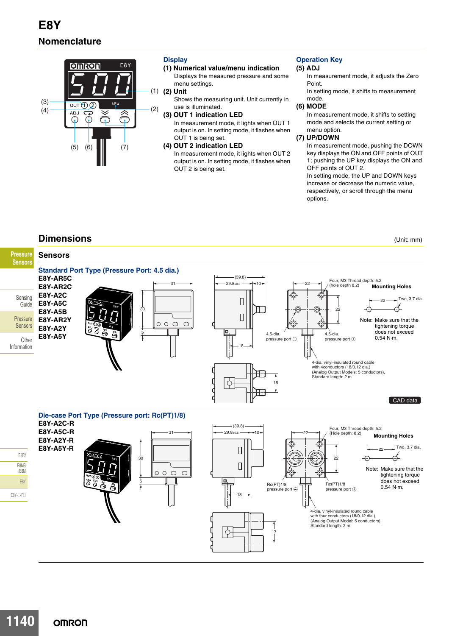

### **Display**

**(1) Numerical value/menu indication** Displays the measured pressure and some menu settings.

#### **(2) Unit** (1)

Shows the measuring unit. Unit currently in use is illuminated.

**(3) OUT 1 indication LED** In measurement mode, it lights when OUT 1 output is on. In setting mode, it flashes when OUT 1 is being set.

#### **(4) OUT 2 indication LED**

In measurement mode, it lights when OUT 2 output is on. In setting mode, it flashes when OUT 2 is being set.

## **Operation Key**

#### **(5) ADJ**

- In measurement mode, it adjusts the Zero Point.
- In setting mode, it shifts to measurement mode.

### **(6) MODE**

In measurement mode, it shifts to setting mode and selects the current setting or menu option.

#### **(7) UP/DOWN**

In measurement mode, pushing the DOWN key displays the ON and OFF points of OUT 1; pushing the UP key displays the ON and OFF points of OUT 2.

In setting mode, the UP and DOWN keys increase or decrease the numeric value, respectively, or scroll through the menu options.

## **Dimensions** (Unit: mm)

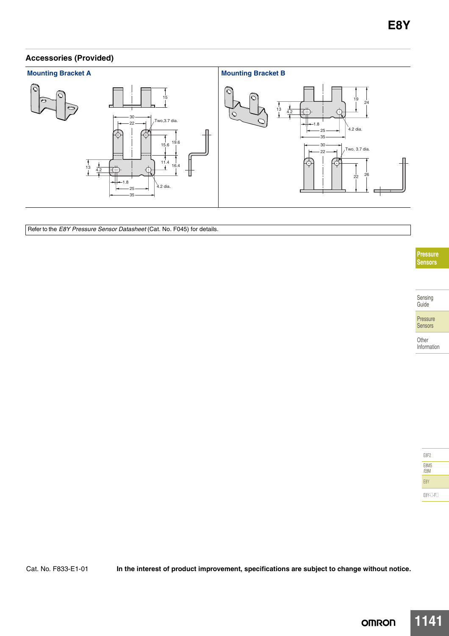## **Accessories (Provided)**



Refer to the *E8Y Pressure Sensor Datasheet* (Cat. No. F045) for details.

**Pressure Sensors**

Sensing Guide

**Other** Information

| E8F2         |
|--------------|
| E8MS<br>/E8M |
| F8Y          |
| E8Y-T-FT     |

Cat. No. F833-E1-01 **In the interest of product improvement, specifications are subject to change without notice.**